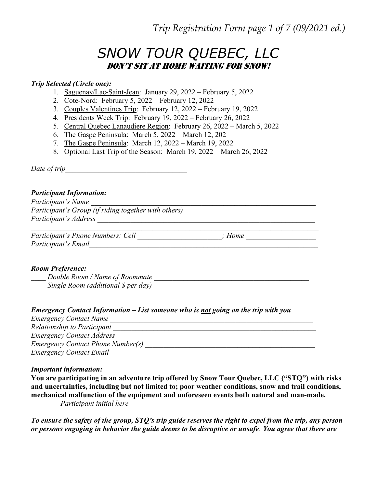Trip Registration Form page 1 of 7 (09/2021 ed.)

# SNOW TOUR QUEBEC, LLC Don't Sit at Home Waiting For SnoW!

#### Trip Selected (Circle one):

- 1. Saguenay/Lac-Saint-Jean: January 29, 2022 February 5, 2022
- 2. Cote-Nord: February 5, 2022 February 12, 2022
- 3. Couples Valentines Trip: February 12, 2022 February 19, 2022
- 4. Presidents Week Trip: February 19, 2022 February 26, 2022
- 5. Central Quebec Lanaudiere Region: February 26, 2022 March 5, 2022
- 6. The Gaspe Peninsula: March 5, 2022 March 12, 202
- 7. The Gaspe Peninsula: March 12, 2022 March 19, 2022
- 8. Optional Last Trip of the Season: March 19, 2022 March 26, 2022

Date of trip\_\_\_\_\_\_\_\_\_\_\_\_\_\_\_\_\_\_\_\_\_\_\_\_\_\_\_\_\_\_\_\_\_

## Participant Information:

Participant's Name Participant's Group (if riding together with others) \_\_\_\_\_\_\_\_\_\_\_\_\_\_\_\_\_\_\_\_\_\_\_\_\_\_\_ Participant's Address

| Participant's Phone Numbers: Cell | Home |  |
|-----------------------------------|------|--|
| Participant's Email               |      |  |

### Room Preference:

 $\Box$  Double Room / Name of Roommate  $\Box$ Single Room (additional \$ per day)

### Emergency Contact Information – List someone who is not going on the trip with you

| <b>Emergency Contact Name</b>            |
|------------------------------------------|
| Relationship to Participant              |
| <b>Emergency Contact Address</b>         |
| <b>Emergency Contact Phone Number(s)</b> |
| <b>Emergency Contact Email</b>           |

#### Important information:

You are participating in an adventure trip offered by Snow Tour Quebec, LLC ("STQ") with risks and uncertainties, including but not limited to; poor weather conditions, snow and trail conditions, mechanical malfunction of the equipment and unforeseen events both natural and man-made. \_\_\_\_\_\_\_\_Participant initial here

To ensure the safety of the group, STQ's trip guide reserves the right to expel from the trip, any person or persons engaging in behavior the guide deems to be disruptive or unsafe. You agree that there are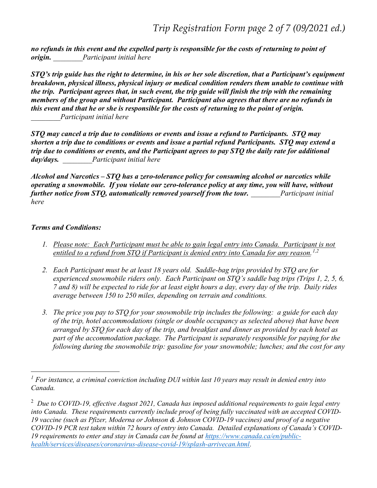no refunds in this event and the expelled party is responsible for the costs of returning to point of origin. Participant initial here

STQ's trip guide has the right to determine, in his or her sole discretion, that a Participant's equipment breakdown, physical illness, physical injury or medical condition renders them unable to continue with the trip. Participant agrees that, in such event, the trip guide will finish the trip with the remaining members of the group and without Participant. Participant also agrees that there are no refunds in this event and that he or she is responsible for the costs of returning to the point of origin. Participant initial here

STQ may cancel a trip due to conditions or events and issue a refund to Participants. STQ may shorten a trip due to conditions or events and issue a partial refund Participants. STQ may extend a trip due to conditions or events, and the Participant agrees to pay STQ the daily rate for additional day/days. Participant initial here

Alcohol and Narcotics – STQ has a zero-tolerance policy for consuming alcohol or narcotics while operating a snowmobile. If you violate our zero-tolerance policy at any time, you will have, without further notice from STQ, automatically removed yourself from the tour. Participant initial here

# Terms and Conditions:

- 1. Please note: Each Participant must be able to gain legal entry into Canada. Participant is not entitled to a refund from STQ if Participant is denied entry into Canada for any reason.<sup>1,2</sup>
- 2. Each Participant must be at least 18 years old. Saddle-bag trips provided by STQ are for experienced snowmobile riders only. Each Participant on STQ's saddle bag trips (Trips 1, 2, 5, 6, 7 and 8) will be expected to ride for at least eight hours a day, every day of the trip. Daily rides average between 150 to 250 miles, depending on terrain and conditions.
- 3. The price you pay to STQ for your snowmobile trip includes the following: a guide for each day of the trip, hotel accommodations (single or double occupancy as selected above) that have been arranged by STQ for each day of the trip, and breakfast and dinner as provided by each hotel as part of the accommodation package. The Participant is separately responsible for paying for the following during the snowmobile trip: gasoline for your snowmobile; lunches; and the cost for any

<sup>&</sup>lt;sup>1</sup> For instance, a criminal conviction including DUI within last 10 years may result in denied entry into Canada.

<sup>&</sup>lt;sup>2</sup> Due to COVID-19, effective August 2021, Canada has imposed additional requirements to gain legal entry into Canada. These requirements currently include proof of being fully vaccinated with an accepted COVID-19 vaccine (such as Pfizer, Moderna or Johnson & Johnson COVID-19 vaccines) and proof of a negative COVID-19 PCR test taken within 72 hours of entry into Canada. Detailed explanations of Canada's COVID-19 requirements to enter and stay in Canada can be found at https://www.canada.ca/en/publichealth/services/diseases/coronavirus-disease-covid-19/splash-arrivecan.html.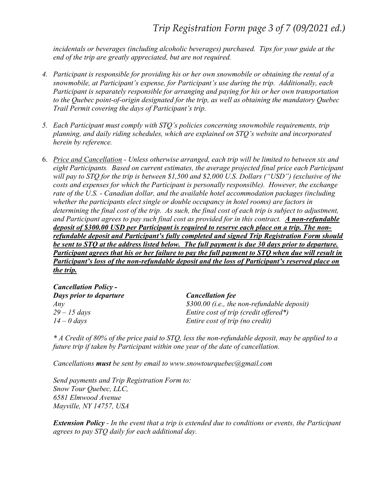incidentals or beverages (including alcoholic beverages) purchased. Tips for your guide at the end of the trip are greatly appreciated, but are not required.

- 4. Participant is responsible for providing his or her own snowmobile or obtaining the rental of a snowmobile, at Participant's expense, for Participant's use during the trip. Additionally, each Participant is separately responsible for arranging and paying for his or her own transportation to the Quebec point-of-origin designated for the trip, as well as obtaining the mandatory Quebec Trail Permit covering the days of Participant's trip.
- 5. Each Participant must comply with STQ's policies concerning snowmobile requirements, trip planning, and daily riding schedules, which are explained on STQ's website and incorporated herein by reference.
- 6. Price and Cancellation Unless otherwise arranged, each trip will be limited to between six and eight Participants. Based on current estimates, the average projected final price each Participant will pay to STO for the trip is between \$1,500 and \$2,000 U.S. Dollars ("USD") (exclusive of the costs and expenses for which the Participant is personally responsible). However, the exchange rate of the U.S. - Canadian dollar, and the available hotel accommodation packages (including whether the participants elect single or double occupancy in hotel rooms) are factors in determining the final cost of the trip. As such, the final cost of each trip is subject to adjustment, and Participant agrees to pay such final cost as provided for in this contract. A non-refundable deposit of \$300.00 USD per Participant is required to reserve each place on a trip. The nonrefundable deposit and Participant's fully completed and signed Trip Registration Form should be sent to STQ at the address listed below. The full payment is due 30 days prior to departure. Participant agrees that his or her failure to pay the full payment to STQ when due will result in Participant's loss of the non-refundable deposit and the loss of Participant's reserved place on the trip.

| <b>Cancellation Policy -</b> |                                             |
|------------------------------|---------------------------------------------|
| Days prior to departure      | <b>Cancellation fee</b>                     |
| Any                          | \$300.00 (i.e., the non-refundable deposit) |
| $29 - 15$ days               | Entire cost of trip (credit offered*)       |
| $14 - 0$ days                | Entire cost of trip (no credit)             |

\* A Credit of 80% of the price paid to STQ, less the non-refundable deposit, may be applied to a future trip if taken by Participant within one year of the date of cancellation.

Cancellations must be sent by email to www.snowtourquebec@gmail.com

Send payments and Trip Registration Form to: Snow Tour Quebec, LLC, 6581 Elmwood Avenue Mayville, NY 14757, USA

Extension Policy - In the event that a trip is extended due to conditions or events, the Participant agrees to pay STQ daily for each additional day.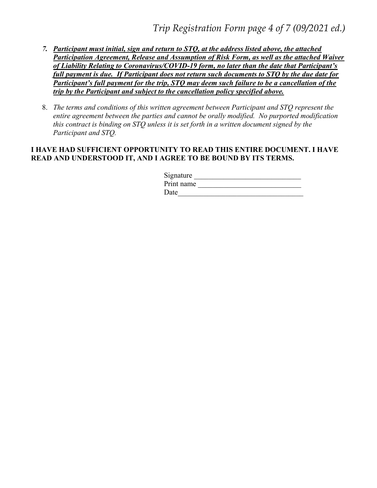- 7. Participant must initial, sign and return to STQ, at the address listed above, the attached Participation Agreement, Release and Assumption of Risk Form, as well as the attached Waiver of Liability Relating to Coronavirus/COVID-19 form, no later than the date that Participant's full payment is due. If Participant does not return such documents to STQ by the due date for Participant's full payment for the trip, STQ may deem such failure to be a cancellation of the trip by the Participant and subject to the cancellation policy specified above.
- 8. The terms and conditions of this written agreement between Participant and STQ represent the entire agreement between the parties and cannot be orally modified. No purported modification this contract is binding on STQ unless it is set forth in a written document signed by the Participant and STQ.

## I HAVE HAD SUFFICIENT OPPORTUNITY TO READ THIS ENTIRE DOCUMENT. I HAVE READ AND UNDERSTOOD IT, AND I AGREE TO BE BOUND BY ITS TERMS.

| Signature  |  |
|------------|--|
| Print name |  |
| Date       |  |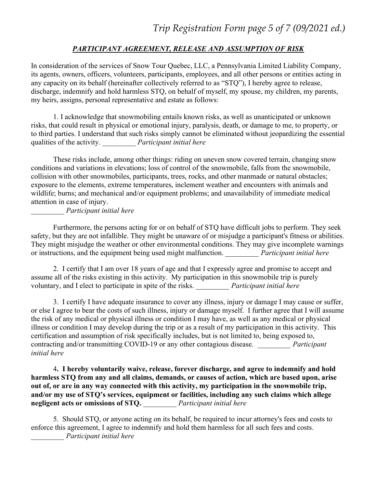# PARTICIPANT AGREEMENT, RELEASE AND ASSUMPTION OF RISK

In consideration of the services of Snow Tour Quebec, LLC, a Pennsylvania Limited Liability Company, its agents, owners, officers, volunteers, participants, employees, and all other persons or entities acting in any capacity on its behalf (hereinafter collectively referred to as "STQ"), I hereby agree to release, discharge, indemnify and hold harmless STQ, on behalf of myself, my spouse, my children, my parents, my heirs, assigns, personal representative and estate as follows:

1. I acknowledge that snowmobiling entails known risks, as well as unanticipated or unknown risks, that could result in physical or emotional injury, paralysis, death, or damage to me, to property, or to third parties. I understand that such risks simply cannot be eliminated without jeopardizing the essential qualities of the activity. Participant initial here

These risks include, among other things: riding on uneven snow covered terrain, changing snow conditions and variations in elevations; loss of control of the snowmobile, falls from the snowmobile, collision with other snowmobiles, participants, trees, rocks, and other manmade or natural obstacles; exposure to the elements, extreme temperatures, inclement weather and encounters with animals and wildlife; burns; and mechanical and/or equipment problems; and unavailability of immediate medical attention in case of injury.

\_\_\_\_\_\_\_\_\_ Participant initial here

Furthermore, the persons acting for or on behalf of STQ have difficult jobs to perform. They seek safety, but they are not infallible. They might be unaware of or misjudge a participant's fitness or abilities. They might misjudge the weather or other environmental conditions. They may give incomplete warnings or instructions, and the equipment being used might malfunction. Participant initial here

2. I certify that I am over 18 years of age and that I expressly agree and promise to accept and assume all of the risks existing in this activity. My participation in this snowmobile trip is purely voluntary, and I elect to participate in spite of the risks. \_\_\_\_\_\_\_\_\_\_ Participant initial here

3. I certify I have adequate insurance to cover any illness, injury or damage I may cause or suffer, or else I agree to bear the costs of such illness, injury or damage myself. I further agree that I will assume the risk of any medical or physical illness or condition I may have, as well as any medical or physical illness or condition I may develop during the trip or as a result of my participation in this activity. This certification and assumption of risk specifically includes, but is not limited to, being exposed to, contracting and/or transmitting COVID-19 or any other contagious disease. *Participant* initial here

4. I hereby voluntarily waive, release, forever discharge, and agree to indemnify and hold harmless STQ from any and all claims, demands, or causes of action, which are based upon, arise out of, or are in any way connected with this activity, my participation in the snowmobile trip, and/or my use of STQ's services, equipment or facilities, including any such claims which allege negligent acts or omissions of STQ. Participant initial here

5. Should STQ, or anyone acting on its behalf, be required to incur attorney's fees and costs to enforce this agreement, I agree to indemnify and hold them harmless for all such fees and costs. \_\_\_\_\_\_\_\_\_ Participant initial here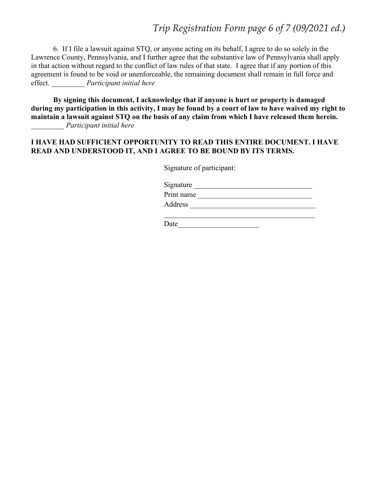Trip Registration Form page 6 of 7 (09/2021 ed.)

6. If I file a lawsuit against STQ, or anyone acting on its behalf, I agree to do so solely in the Lawrence County, Pennsylvania, and I further agree that the substantive law of Pennsylvania shall apply in that action without regard to the conflict of law rules of that state. I agree that if any portion of this agreement is found to be void or unenforceable, the remaining document shall remain in full force and effect. Participant initial here

By signing this document, I acknowledge that if anyone is hurt or property is damaged during my participation in this activity, I may be found by a court of law to have waived my right to maintain a lawsuit against STQ on the basis of any claim from which I have released them herein. \_\_\_\_\_\_\_\_\_ Participant initial here

## I HAVE HAD SUFFICIENT OPPORTUNITY TO READ THIS ENTIRE DOCUMENT. I HAVE READ AND UNDERSTOOD IT, AND I AGREE TO BE BOUND BY ITS TERMS.

Signature of participant:

| Signature  |  |  |
|------------|--|--|
| Print name |  |  |
| Address    |  |  |

Date and the set of  $\overline{a}$  and  $\overline{b}$  and  $\overline{c}$  and  $\overline{c}$  and  $\overline{c}$  and  $\overline{c}$  and  $\overline{c}$  and  $\overline{c}$  and  $\overline{c}$  and  $\overline{c}$  and  $\overline{c}$  and  $\overline{c}$  and  $\overline{c}$  and  $\overline{c}$  and  $\overline{c}$  and  $\overline{c}$